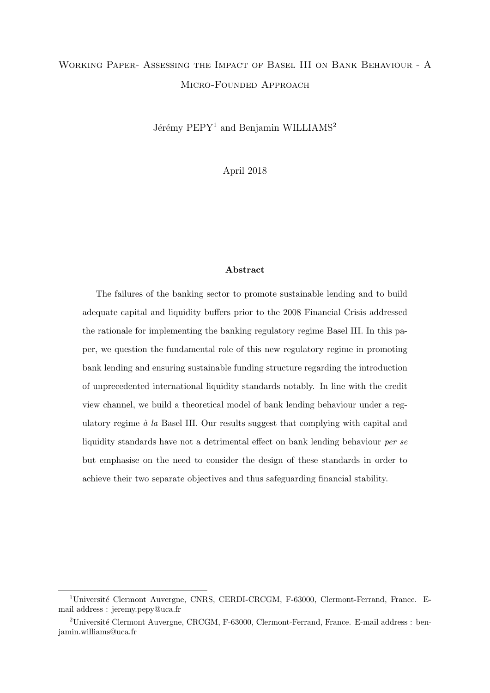## Working Paper- Assessing the Impact of Basel III on Bank Behaviour - A Micro-Founded Approach

Jérémy PEPY<sup>1</sup> and Benjamin WILLIAMS<sup>2</sup>

April 2018

#### Abstract

The failures of the banking sector to promote sustainable lending and to build adequate capital and liquidity buffers prior to the 2008 Financial Crisis addressed the rationale for implementing the banking regulatory regime Basel III. In this paper, we question the fundamental role of this new regulatory regime in promoting bank lending and ensuring sustainable funding structure regarding the introduction of unprecedented international liquidity standards notably. In line with the credit view channel, we build a theoretical model of bank lending behaviour under a regulatory regime  $\dot{a}$  la Basel III. Our results suggest that complying with capital and liquidity standards have not a detrimental effect on bank lending behaviour per se but emphasise on the need to consider the design of these standards in order to achieve their two separate objectives and thus safeguarding financial stability.

<sup>&</sup>lt;sup>1</sup>Université Clermont Auvergne, CNRS, CERDI-CRCGM, F-63000, Clermont-Ferrand, France. Email address : jeremy.pepy@uca.fr

<sup>&</sup>lt;sup>2</sup>Université Clermont Auvergne, CRCGM, F-63000, Clermont-Ferrand, France. E-mail address : benjamin.williams@uca.fr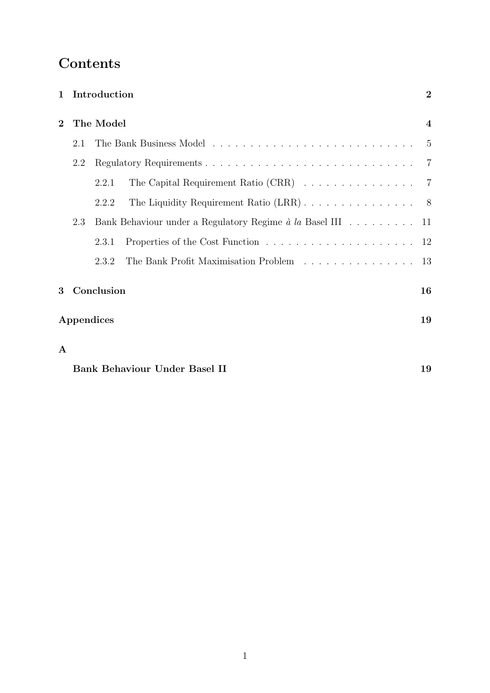# Contents

|                | 1 Introduction                                                    |            |                                                                            |    |  |  |  |
|----------------|-------------------------------------------------------------------|------------|----------------------------------------------------------------------------|----|--|--|--|
| $\overline{2}$ | The Model                                                         |            |                                                                            |    |  |  |  |
|                | 2.1                                                               |            |                                                                            |    |  |  |  |
|                | 2.2                                                               |            |                                                                            |    |  |  |  |
|                |                                                                   | 2.2.1      | The Capital Requirement Ratio (CRR) $\ldots \ldots \ldots \ldots \ldots$ 7 |    |  |  |  |
|                |                                                                   | 2.2.2      |                                                                            |    |  |  |  |
|                | 2.3<br>Bank Behaviour under a Regulatory Regime à la Basel III 11 |            |                                                                            |    |  |  |  |
|                |                                                                   | 2.3.1      |                                                                            |    |  |  |  |
|                |                                                                   | 2.3.2      | The Bank Profit Maximisation Problem                                       | 13 |  |  |  |
| 3              |                                                                   | Conclusion |                                                                            | 16 |  |  |  |
|                | Appendices<br>19                                                  |            |                                                                            |    |  |  |  |
| ${\bf A}$      |                                                                   |            |                                                                            |    |  |  |  |
|                | <b>Bank Behaviour Under Basel II</b>                              |            |                                                                            |    |  |  |  |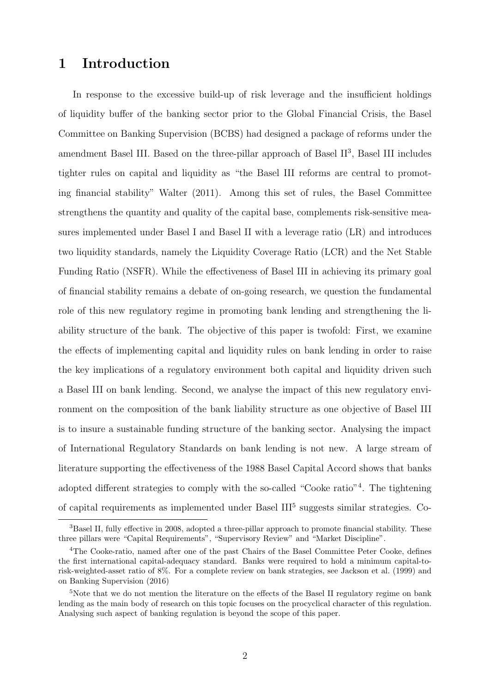## 1 Introduction

In response to the excessive build-up of risk leverage and the insufficient holdings of liquidity buffer of the banking sector prior to the Global Financial Crisis, the Basel Committee on Banking Supervision (BCBS) had designed a package of reforms under the amendment Basel III. Based on the three-pillar approach of Basel II<sup>3</sup>, Basel III includes tighter rules on capital and liquidity as "the Basel III reforms are central to promoting financial stability" Walter (2011). Among this set of rules, the Basel Committee strengthens the quantity and quality of the capital base, complements risk-sensitive measures implemented under Basel I and Basel II with a leverage ratio (LR) and introduces two liquidity standards, namely the Liquidity Coverage Ratio (LCR) and the Net Stable Funding Ratio (NSFR). While the effectiveness of Basel III in achieving its primary goal of financial stability remains a debate of on-going research, we question the fundamental role of this new regulatory regime in promoting bank lending and strengthening the liability structure of the bank. The objective of this paper is twofold: First, we examine the effects of implementing capital and liquidity rules on bank lending in order to raise the key implications of a regulatory environment both capital and liquidity driven such a Basel III on bank lending. Second, we analyse the impact of this new regulatory environment on the composition of the bank liability structure as one objective of Basel III is to insure a sustainable funding structure of the banking sector. Analysing the impact of International Regulatory Standards on bank lending is not new. A large stream of literature supporting the effectiveness of the 1988 Basel Capital Accord shows that banks adopted different strategies to comply with the so-called "Cooke ratio"<sup>4</sup> . The tightening of capital requirements as implemented under Basel III<sup>5</sup> suggests similar strategies. Co-

<sup>&</sup>lt;sup>3</sup>Basel II, fully effective in 2008, adopted a three-pillar approach to promote financial stability. These three pillars were "Capital Requirements", "Supervisory Review" and "Market Discipline".

<sup>4</sup>The Cooke-ratio, named after one of the past Chairs of the Basel Committee Peter Cooke, defines the first international capital-adequacy standard. Banks were required to hold a minimum capital-torisk-weighted-asset ratio of 8%. For a complete review on bank strategies, see Jackson et al. (1999) and on Banking Supervision (2016)

<sup>&</sup>lt;sup>5</sup>Note that we do not mention the literature on the effects of the Basel II regulatory regime on bank lending as the main body of research on this topic focuses on the procyclical character of this regulation. Analysing such aspect of banking regulation is beyond the scope of this paper.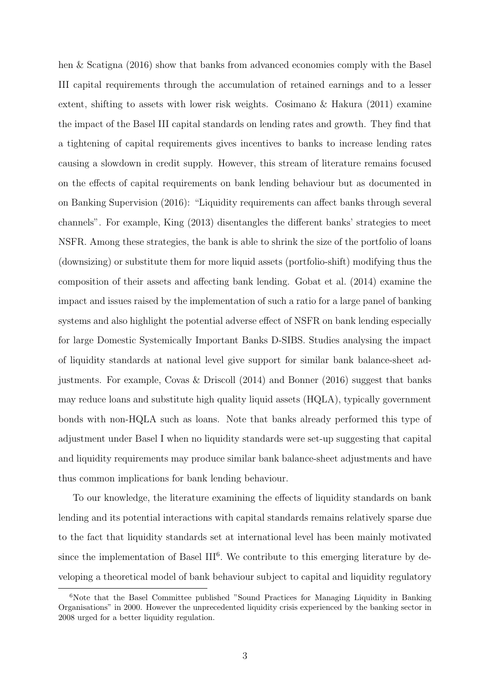hen & Scatigna (2016) show that banks from advanced economies comply with the Basel III capital requirements through the accumulation of retained earnings and to a lesser extent, shifting to assets with lower risk weights. Cosimano & Hakura  $(2011)$  examine the impact of the Basel III capital standards on lending rates and growth. They find that a tightening of capital requirements gives incentives to banks to increase lending rates causing a slowdown in credit supply. However, this stream of literature remains focused on the effects of capital requirements on bank lending behaviour but as documented in on Banking Supervision (2016): "Liquidity requirements can affect banks through several channels". For example, King (2013) disentangles the different banks' strategies to meet NSFR. Among these strategies, the bank is able to shrink the size of the portfolio of loans (downsizing) or substitute them for more liquid assets (portfolio-shift) modifying thus the composition of their assets and affecting bank lending. Gobat et al. (2014) examine the impact and issues raised by the implementation of such a ratio for a large panel of banking systems and also highlight the potential adverse effect of NSFR on bank lending especially for large Domestic Systemically Important Banks D-SIBS. Studies analysing the impact of liquidity standards at national level give support for similar bank balance-sheet adjustments. For example, Covas & Driscoll (2014) and Bonner (2016) suggest that banks may reduce loans and substitute high quality liquid assets (HQLA), typically government bonds with non-HQLA such as loans. Note that banks already performed this type of adjustment under Basel I when no liquidity standards were set-up suggesting that capital and liquidity requirements may produce similar bank balance-sheet adjustments and have thus common implications for bank lending behaviour.

To our knowledge, the literature examining the effects of liquidity standards on bank lending and its potential interactions with capital standards remains relatively sparse due to the fact that liquidity standards set at international level has been mainly motivated since the implementation of Basel III<sup>6</sup>. We contribute to this emerging literature by developing a theoretical model of bank behaviour subject to capital and liquidity regulatory

<sup>&</sup>lt;sup>6</sup>Note that the Basel Committee published "Sound Practices for Managing Liquidity in Banking Organisations" in 2000. However the unprecedented liquidity crisis experienced by the banking sector in 2008 urged for a better liquidity regulation.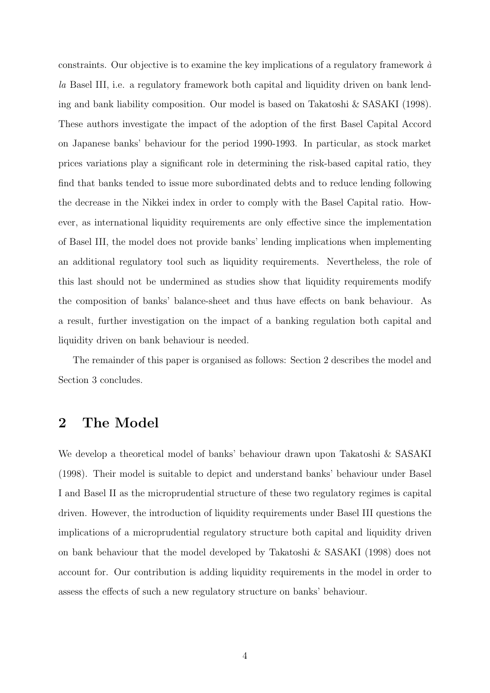constraints. Our objective is to examine the key implications of a regulatory framework  $\dot{a}$ la Basel III, i.e. a regulatory framework both capital and liquidity driven on bank lending and bank liability composition. Our model is based on Takatoshi & SASAKI (1998). These authors investigate the impact of the adoption of the first Basel Capital Accord on Japanese banks' behaviour for the period 1990-1993. In particular, as stock market prices variations play a significant role in determining the risk-based capital ratio, they find that banks tended to issue more subordinated debts and to reduce lending following the decrease in the Nikkei index in order to comply with the Basel Capital ratio. However, as international liquidity requirements are only effective since the implementation of Basel III, the model does not provide banks' lending implications when implementing an additional regulatory tool such as liquidity requirements. Nevertheless, the role of this last should not be undermined as studies show that liquidity requirements modify the composition of banks' balance-sheet and thus have effects on bank behaviour. As a result, further investigation on the impact of a banking regulation both capital and liquidity driven on bank behaviour is needed.

The remainder of this paper is organised as follows: Section 2 describes the model and Section 3 concludes.

## 2 The Model

We develop a theoretical model of banks' behaviour drawn upon Takatoshi & SASAKI (1998). Their model is suitable to depict and understand banks' behaviour under Basel I and Basel II as the microprudential structure of these two regulatory regimes is capital driven. However, the introduction of liquidity requirements under Basel III questions the implications of a microprudential regulatory structure both capital and liquidity driven on bank behaviour that the model developed by Takatoshi & SASAKI (1998) does not account for. Our contribution is adding liquidity requirements in the model in order to assess the effects of such a new regulatory structure on banks' behaviour.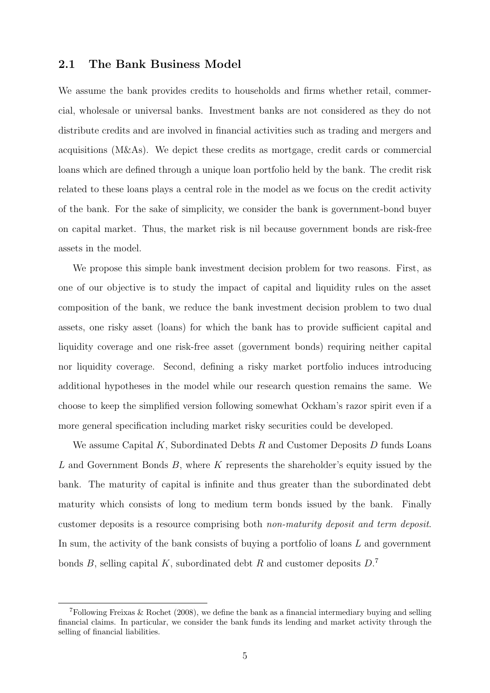#### 2.1 The Bank Business Model

We assume the bank provides credits to households and firms whether retail, commercial, wholesale or universal banks. Investment banks are not considered as they do not distribute credits and are involved in financial activities such as trading and mergers and acquisitions (M&As). We depict these credits as mortgage, credit cards or commercial loans which are defined through a unique loan portfolio held by the bank. The credit risk related to these loans plays a central role in the model as we focus on the credit activity of the bank. For the sake of simplicity, we consider the bank is government-bond buyer on capital market. Thus, the market risk is nil because government bonds are risk-free assets in the model.

We propose this simple bank investment decision problem for two reasons. First, as one of our objective is to study the impact of capital and liquidity rules on the asset composition of the bank, we reduce the bank investment decision problem to two dual assets, one risky asset (loans) for which the bank has to provide sufficient capital and liquidity coverage and one risk-free asset (government bonds) requiring neither capital nor liquidity coverage. Second, defining a risky market portfolio induces introducing additional hypotheses in the model while our research question remains the same. We choose to keep the simplified version following somewhat Ockham's razor spirit even if a more general specification including market risky securities could be developed.

We assume Capital  $K$ , Subordinated Debts  $R$  and Customer Deposits  $D$  funds Loans L and Government Bonds B, where K represents the shareholder's equity issued by the bank. The maturity of capital is infinite and thus greater than the subordinated debt maturity which consists of long to medium term bonds issued by the bank. Finally customer deposits is a resource comprising both non-maturity deposit and term deposit. In sum, the activity of the bank consists of buying a portfolio of loans  $L$  and government bonds  $B$ , selling capital  $K$ , subordinated debt  $R$  and customer deposits  $D$ .<sup>7</sup>

 $\sigma$ Following Freixas & Rochet (2008), we define the bank as a financial intermediary buying and selling financial claims. In particular, we consider the bank funds its lending and market activity through the selling of financial liabilities.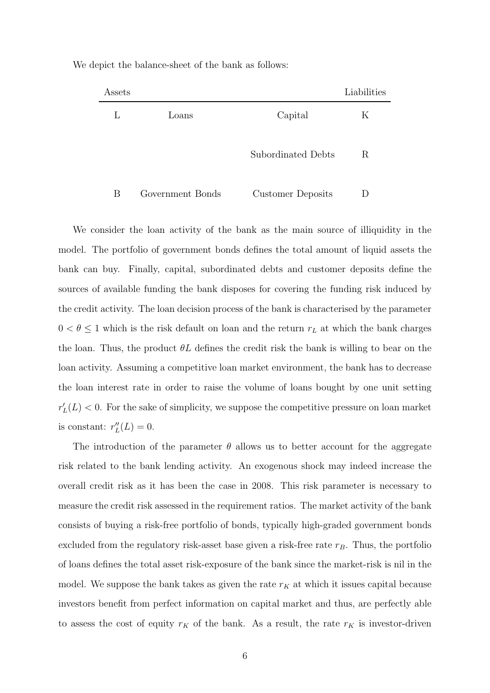| Assets |                  |                    | Liabilities |
|--------|------------------|--------------------|-------------|
| L      | Loans            | Capital            | K           |
|        |                  | Subordinated Debts | R           |
| В      | Government Bonds | Customer Deposits  |             |

We depict the balance-sheet of the bank as follows:

We consider the loan activity of the bank as the main source of illiquidity in the model. The portfolio of government bonds defines the total amount of liquid assets the bank can buy. Finally, capital, subordinated debts and customer deposits define the sources of available funding the bank disposes for covering the funding risk induced by the credit activity. The loan decision process of the bank is characterised by the parameter  $0 < \theta \leq 1$  which is the risk default on loan and the return  $r_L$  at which the bank charges the loan. Thus, the product  $\theta L$  defines the credit risk the bank is willing to bear on the loan activity. Assuming a competitive loan market environment, the bank has to decrease the loan interest rate in order to raise the volume of loans bought by one unit setting  $r'_{L}(L) < 0$ . For the sake of simplicity, we suppose the competitive pressure on loan market is constant:  $r''_L(L) = 0$ .

The introduction of the parameter  $\theta$  allows us to better account for the aggregate risk related to the bank lending activity. An exogenous shock may indeed increase the overall credit risk as it has been the case in 2008. This risk parameter is necessary to measure the credit risk assessed in the requirement ratios. The market activity of the bank consists of buying a risk-free portfolio of bonds, typically high-graded government bonds excluded from the regulatory risk-asset base given a risk-free rate  $r_B$ . Thus, the portfolio of loans defines the total asset risk-exposure of the bank since the market-risk is nil in the model. We suppose the bank takes as given the rate  $r_K$  at which it issues capital because investors benefit from perfect information on capital market and thus, are perfectly able to assess the cost of equity  $r_K$  of the bank. As a result, the rate  $r_K$  is investor-driven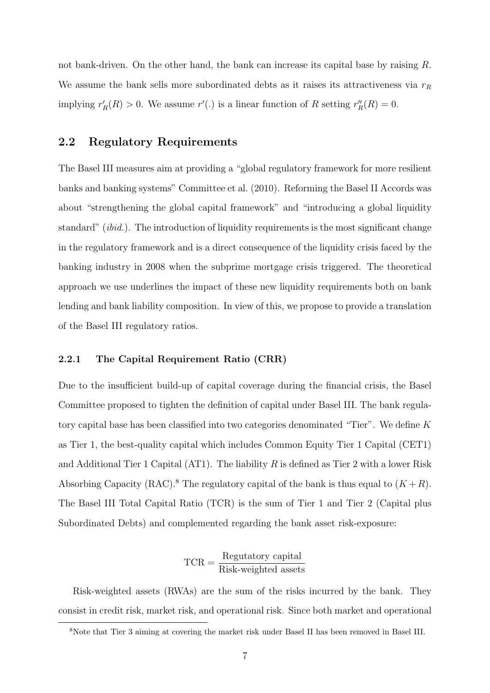not bank-driven. On the other hand, the bank can increase its capital base by raising R. We assume the bank sells more subordinated debts as it raises its attractiveness via  $r_R$ implying  $r'_R(R) > 0$ . We assume  $r'$ . is a linear function of R setting  $r''_R(R) = 0$ .

#### 2.2 Regulatory Requirements

The Basel III measures aim at providing a "global regulatory framework for more resilient banks and banking systems" Committee et al. (2010). Reforming the Basel II Accords was about "strengthening the global capital framework" and "introducing a global liquidity standard" (ibid.). The introduction of liquidity requirements is the most significant change in the regulatory framework and is a direct consequence of the liquidity crisis faced by the banking industry in 2008 when the subprime mortgage crisis triggered. The theoretical approach we use underlines the impact of these new liquidity requirements both on bank lending and bank liability composition. In view of this, we propose to provide a translation of the Basel III regulatory ratios.

#### 2.2.1 The Capital Requirement Ratio (CRR)

Due to the insufficient build-up of capital coverage during the financial crisis, the Basel Committee proposed to tighten the definition of capital under Basel III. The bank regulatory capital base has been classified into two categories denominated "Tier". We define K as Tier 1, the best-quality capital which includes Common Equity Tier 1 Capital (CET1) and Additional Tier 1 Capital (AT1). The liability R is defined as Tier 2 with a lower Risk Absorbing Capacity (RAC).<sup>8</sup> The regulatory capital of the bank is thus equal to  $(K+R)$ . The Basel III Total Capital Ratio (TCR) is the sum of Tier 1 and Tier 2 (Capital plus Subordinated Debts) and complemented regarding the bank asset risk-exposure:

$$
TCR = \frac{Regularatory capital}{Risk-weighted assets}
$$

Risk-weighted assets (RWAs) are the sum of the risks incurred by the bank. They consist in credit risk, market risk, and operational risk. Since both market and operational

<sup>8</sup>Note that Tier 3 aiming at covering the market risk under Basel II has been removed in Basel III.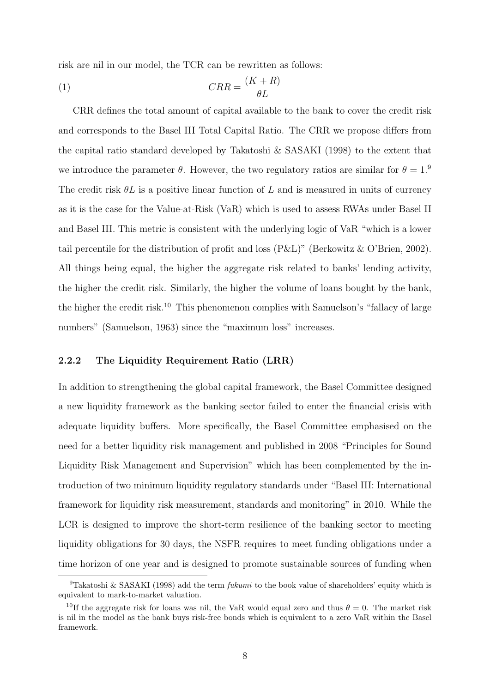risk are nil in our model, the TCR can be rewritten as follows:

$$
(1) \tCRR = \frac{(K+R)}{\theta L}
$$

CRR defines the total amount of capital available to the bank to cover the credit risk and corresponds to the Basel III Total Capital Ratio. The CRR we propose differs from the capital ratio standard developed by Takatoshi & SASAKI (1998) to the extent that we introduce the parameter  $\theta$ . However, the two regulatory ratios are similar for  $\theta = 1$ .<sup>9</sup> The credit risk  $\theta L$  is a positive linear function of L and is measured in units of currency as it is the case for the Value-at-Risk (VaR) which is used to assess RWAs under Basel II and Basel III. This metric is consistent with the underlying logic of VaR "which is a lower tail percentile for the distribution of profit and loss (P&L)" (Berkowitz & O'Brien, 2002). All things being equal, the higher the aggregate risk related to banks' lending activity, the higher the credit risk. Similarly, the higher the volume of loans bought by the bank, the higher the credit risk.<sup>10</sup> This phenomenon complies with Samuelson's "fallacy of large numbers" (Samuelson, 1963) since the "maximum loss" increases.

#### 2.2.2 The Liquidity Requirement Ratio (LRR)

In addition to strengthening the global capital framework, the Basel Committee designed a new liquidity framework as the banking sector failed to enter the financial crisis with adequate liquidity buffers. More specifically, the Basel Committee emphasised on the need for a better liquidity risk management and published in 2008 "Principles for Sound Liquidity Risk Management and Supervision" which has been complemented by the introduction of two minimum liquidity regulatory standards under "Basel III: International framework for liquidity risk measurement, standards and monitoring" in 2010. While the LCR is designed to improve the short-term resilience of the banking sector to meeting liquidity obligations for 30 days, the NSFR requires to meet funding obligations under a time horizon of one year and is designed to promote sustainable sources of funding when

<sup>&</sup>lt;sup>9</sup>Takatoshi & SASAKI (1998) add the term *fukumi* to the book value of shareholders' equity which is equivalent to mark-to-market valuation.

<sup>&</sup>lt;sup>10</sup>If the aggregate risk for loans was nil, the VaR would equal zero and thus  $\theta = 0$ . The market risk is nil in the model as the bank buys risk-free bonds which is equivalent to a zero VaR within the Basel framework.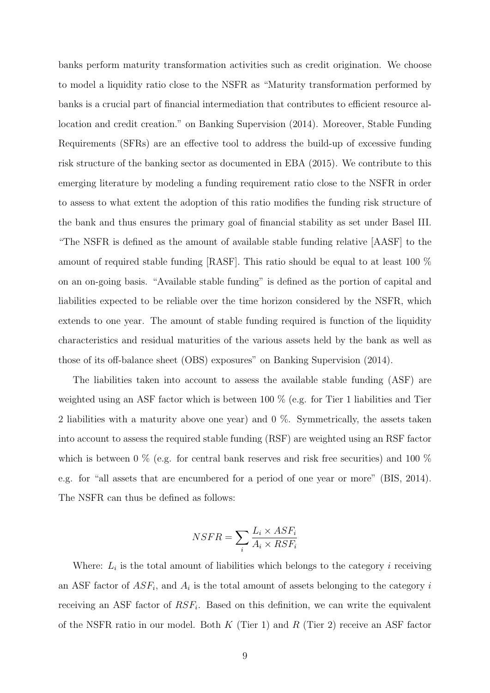banks perform maturity transformation activities such as credit origination. We choose to model a liquidity ratio close to the NSFR as "Maturity transformation performed by banks is a crucial part of financial intermediation that contributes to efficient resource allocation and credit creation." on Banking Supervision (2014). Moreover, Stable Funding Requirements (SFRs) are an effective tool to address the build-up of excessive funding risk structure of the banking sector as documented in EBA (2015). We contribute to this emerging literature by modeling a funding requirement ratio close to the NSFR in order to assess to what extent the adoption of this ratio modifies the funding risk structure of the bank and thus ensures the primary goal of financial stability as set under Basel III. "The NSFR is defined as the amount of available stable funding relative [AASF] to the amount of required stable funding [RASF]. This ratio should be equal to at least 100 % on an on-going basis. "Available stable funding" is defined as the portion of capital and liabilities expected to be reliable over the time horizon considered by the NSFR, which extends to one year. The amount of stable funding required is function of the liquidity characteristics and residual maturities of the various assets held by the bank as well as those of its off-balance sheet (OBS) exposures" on Banking Supervision (2014).

The liabilities taken into account to assess the available stable funding (ASF) are weighted using an ASF factor which is between 100 % (e.g. for Tier 1 liabilities and Tier 2 liabilities with a maturity above one year) and 0 %. Symmetrically, the assets taken into account to assess the required stable funding (RSF) are weighted using an RSF factor which is between 0  $\%$  (e.g. for central bank reserves and risk free securities) and 100  $\%$ e.g. for "all assets that are encumbered for a period of one year or more" (BIS, 2014). The NSFR can thus be defined as follows:

$$
NSFR = \sum_{i} \frac{L_i \times ASF_i}{A_i \times RSF_i}
$$

Where:  $L_i$  is the total amount of liabilities which belongs to the category i receiving an ASF factor of  $ASF_i$ , and  $A_i$  is the total amount of assets belonging to the category i receiving an ASF factor of  $RSF_i$ . Based on this definition, we can write the equivalent of the NSFR ratio in our model. Both  $K$  (Tier 1) and  $R$  (Tier 2) receive an ASF factor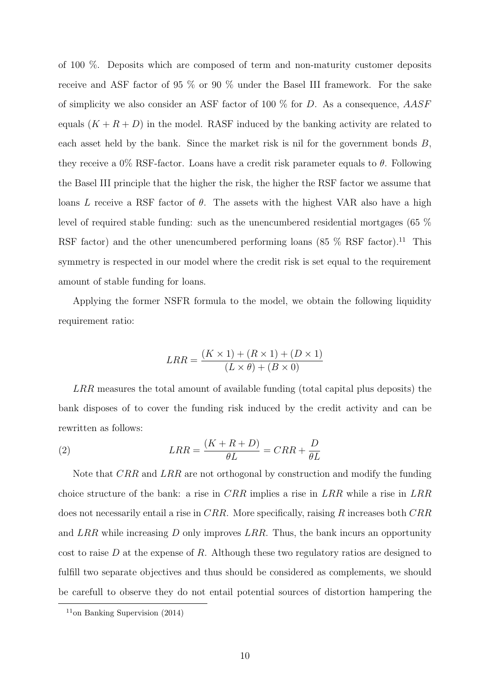of 100 %. Deposits which are composed of term and non-maturity customer deposits receive and ASF factor of 95 % or 90 % under the Basel III framework. For the sake of simplicity we also consider an ASF factor of 100  $\%$  for D. As a consequence,  $AASF$ equals  $(K + R + D)$  in the model. RASF induced by the banking activity are related to each asset held by the bank. Since the market risk is nil for the government bonds  $B$ , they receive a 0% RSF-factor. Loans have a credit risk parameter equals to  $\theta$ . Following the Basel III principle that the higher the risk, the higher the RSF factor we assume that loans L receive a RSF factor of  $\theta$ . The assets with the highest VAR also have a high level of required stable funding: such as the unencumbered residential mortgages (65 % RSF factor) and the other unencumbered performing loans  $(85\%$  RSF factor).<sup>11</sup> This symmetry is respected in our model where the credit risk is set equal to the requirement amount of stable funding for loans.

Applying the former NSFR formula to the model, we obtain the following liquidity requirement ratio:

$$
LRR = \frac{(K \times 1) + (R \times 1) + (D \times 1)}{(L \times \theta) + (B \times 0)}
$$

LRR measures the total amount of available funding (total capital plus deposits) the bank disposes of to cover the funding risk induced by the credit activity and can be rewritten as follows:

(2) 
$$
LRR = \frac{(K + R + D)}{\theta L} = CRR + \frac{D}{\theta L}
$$

Note that CRR and LRR are not orthogonal by construction and modify the funding choice structure of the bank: a rise in  $CRR$  implies a rise in  $LRR$  while a rise in  $LRR$ does not necessarily entail a rise in  $CRR$ . More specifically, raising R increases both  $CRR$ and LRR while increasing D only improves LRR. Thus, the bank incurs an opportunity cost to raise D at the expense of R. Although these two regulatory ratios are designed to fulfill two separate objectives and thus should be considered as complements, we should be carefull to observe they do not entail potential sources of distortion hampering the

 $11$ on Banking Supervision (2014)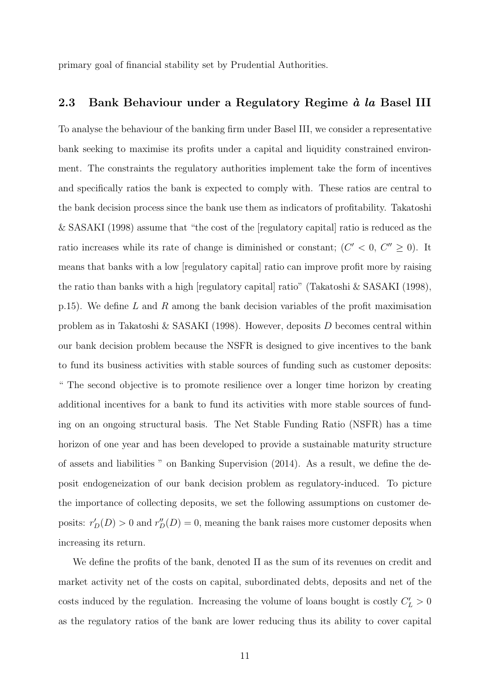primary goal of financial stability set by Prudential Authorities.

#### 2.3 Bank Behaviour under a Regulatory Regime  $\dot{a}$  la Basel III

To analyse the behaviour of the banking firm under Basel III, we consider a representative bank seeking to maximise its profits under a capital and liquidity constrained environment. The constraints the regulatory authorities implement take the form of incentives and specifically ratios the bank is expected to comply with. These ratios are central to the bank decision process since the bank use them as indicators of profitability. Takatoshi & SASAKI (1998) assume that "the cost of the [regulatory capital] ratio is reduced as the ratio increases while its rate of change is diminished or constant;  $(C' < 0, C'' \ge 0)$ . It means that banks with a low [regulatory capital] ratio can improve profit more by raising the ratio than banks with a high [regulatory capital] ratio" (Takatoshi & SASAKI (1998), p.15). We define L and R among the bank decision variables of the profit maximisation problem as in Takatoshi & SASAKI (1998). However, deposits D becomes central within our bank decision problem because the NSFR is designed to give incentives to the bank to fund its business activities with stable sources of funding such as customer deposits: " The second objective is to promote resilience over a longer time horizon by creating additional incentives for a bank to fund its activities with more stable sources of funding on an ongoing structural basis. The Net Stable Funding Ratio (NSFR) has a time horizon of one year and has been developed to provide a sustainable maturity structure of assets and liabilities " on Banking Supervision (2014). As a result, we define the deposit endogeneization of our bank decision problem as regulatory-induced. To picture the importance of collecting deposits, we set the following assumptions on customer deposits:  $r'_D(D) > 0$  and  $r''_D(D) = 0$ , meaning the bank raises more customer deposits when increasing its return.

We define the profits of the bank, denoted  $\Pi$  as the sum of its revenues on credit and market activity net of the costs on capital, subordinated debts, deposits and net of the costs induced by the regulation. Increasing the volume of loans bought is costly  $C_L' > 0$ as the regulatory ratios of the bank are lower reducing thus its ability to cover capital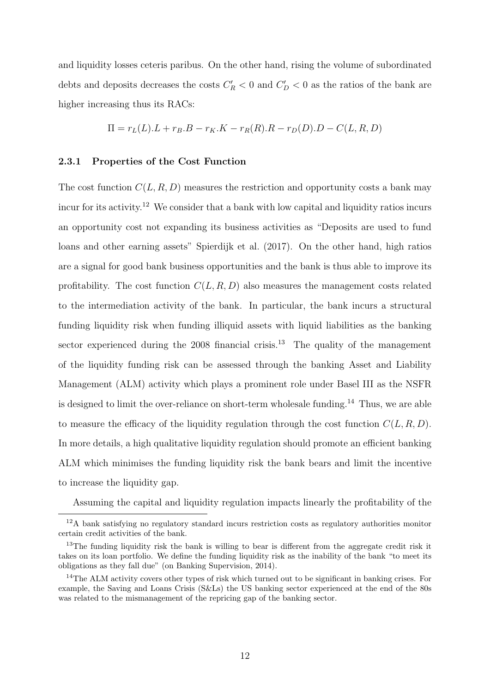and liquidity losses ceteris paribus. On the other hand, rising the volume of subordinated debts and deposits decreases the costs  $C_R' < 0$  and  $C_D' < 0$  as the ratios of the bank are higher increasing thus its RACs:

$$
\Pi = r_L(L).L + r_B.B - r_K.K - r_R(R).R - r_D(D).D - C(L, R, D)
$$

#### 2.3.1 Properties of the Cost Function

The cost function  $C(L, R, D)$  measures the restriction and opportunity costs a bank may incur for its activity.<sup>12</sup> We consider that a bank with low capital and liquidity ratios incurs an opportunity cost not expanding its business activities as "Deposits are used to fund loans and other earning assets" Spierdijk et al. (2017). On the other hand, high ratios are a signal for good bank business opportunities and the bank is thus able to improve its profitability. The cost function  $C(L, R, D)$  also measures the management costs related to the intermediation activity of the bank. In particular, the bank incurs a structural funding liquidity risk when funding illiquid assets with liquid liabilities as the banking sector experienced during the  $2008$  financial crisis.<sup>13</sup> The quality of the management of the liquidity funding risk can be assessed through the banking Asset and Liability Management (ALM) activity which plays a prominent role under Basel III as the NSFR is designed to limit the over-reliance on short-term wholesale funding.<sup>14</sup> Thus, we are able to measure the efficacy of the liquidity regulation through the cost function  $C(L, R, D)$ . In more details, a high qualitative liquidity regulation should promote an efficient banking ALM which minimises the funding liquidity risk the bank bears and limit the incentive to increase the liquidity gap.

Assuming the capital and liquidity regulation impacts linearly the profitability of the

<sup>12</sup>A bank satisfying no regulatory standard incurs restriction costs as regulatory authorities monitor certain credit activities of the bank.

<sup>&</sup>lt;sup>13</sup>The funding liquidity risk the bank is willing to bear is different from the aggregate credit risk it takes on its loan portfolio. We define the funding liquidity risk as the inability of the bank "to meet its obligations as they fall due" (on Banking Supervision, 2014).

<sup>&</sup>lt;sup>14</sup>The ALM activity covers other types of risk which turned out to be significant in banking crises. For example, the Saving and Loans Crisis (S&Ls) the US banking sector experienced at the end of the 80s was related to the mismanagement of the repricing gap of the banking sector.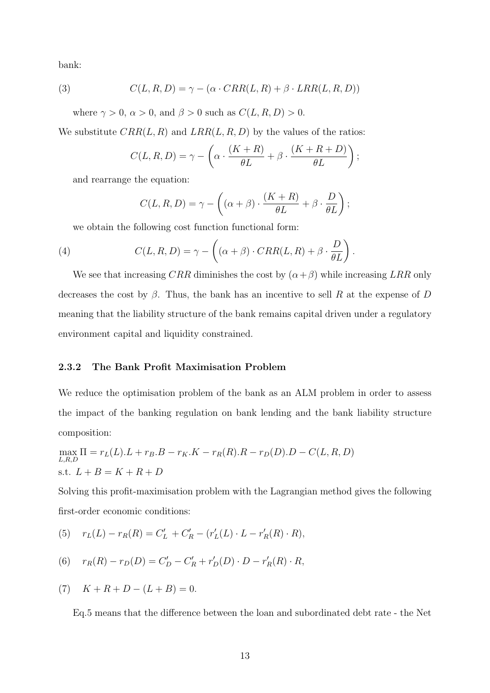bank:

(3) 
$$
C(L, R, D) = \gamma - (\alpha \cdot CRR(L, R) + \beta \cdot LRR(L, R, D))
$$

where  $\gamma > 0$ ,  $\alpha > 0$ , and  $\beta > 0$  such as  $C(L, R, D) > 0$ .

We substitute  $CRR(L, R)$  and  $LRR(L, R, D)$  by the values of the ratios:

$$
C(L, R, D) = \gamma - \left(\alpha \cdot \frac{(K+R)}{\theta L} + \beta \cdot \frac{(K+R+D)}{\theta L}\right);
$$

and rearrange the equation:

$$
C(L, R, D) = \gamma - \left( (\alpha + \beta) \cdot \frac{(K + R)}{\theta L} + \beta \cdot \frac{D}{\theta L} \right);
$$

we obtain the following cost function functional form:

(4) 
$$
C(L, R, D) = \gamma - \left( (\alpha + \beta) \cdot CRR(L, R) + \beta \cdot \frac{D}{\theta L} \right).
$$

We see that increasing CRR diminishes the cost by  $(\alpha + \beta)$  while increasing LRR only decreases the cost by  $\beta$ . Thus, the bank has an incentive to sell R at the expense of D meaning that the liability structure of the bank remains capital driven under a regulatory environment capital and liquidity constrained.

#### 2.3.2 The Bank Profit Maximisation Problem

We reduce the optimisation problem of the bank as an ALM problem in order to assess the impact of the banking regulation on bank lending and the bank liability structure composition:

$$
\max_{L,R,D} \Pi = r_L(L).L + r_B.B - r_K.K - r_R(R).R - r_D(D).D - C(L, R, D)
$$
  
s.t.  $L + B = K + R + D$ 

Solving this profit-maximisation problem with the Lagrangian method gives the following first-order economic conditions:

(5) 
$$
r_L(L) - r_R(R) = C'_L + C'_R - (r'_L(L) \cdot L - r'_R(R) \cdot R),
$$

(6) 
$$
r_R(R) - r_D(D) = C'_D - C'_R + r'_D(D) \cdot D - r'_R(R) \cdot R
$$
,

(7) 
$$
K + R + D - (L + B) = 0.
$$

Eq.5 means that the difference between the loan and subordinated debt rate - the Net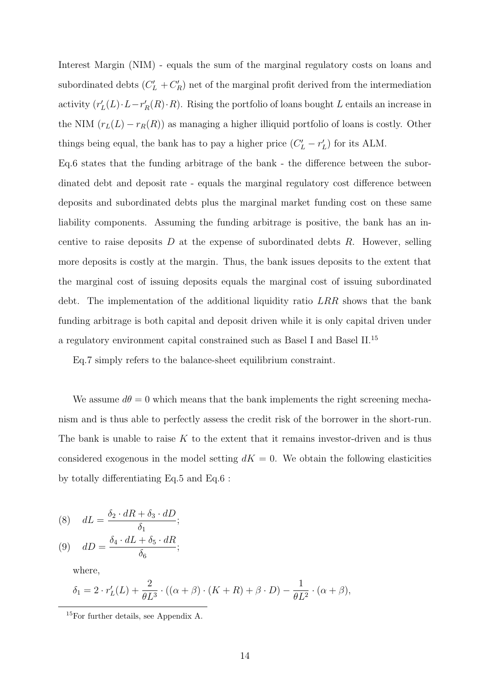Interest Margin (NIM) - equals the sum of the marginal regulatory costs on loans and subordinated debts  $(C'_{L} + C'_{R})$  net of the marginal profit derived from the intermediation activity  $(r'_{L}(L)\cdot L-r'_{R}(R)\cdot R)$ . Rising the portfolio of loans bought L entails an increase in the NIM  $(r_L(L) - r_R(R))$  as managing a higher illiquid portfolio of loans is costly. Other things being equal, the bank has to pay a higher price  $(C'_{L} - r'_{L})$  for its ALM.

Eq.6 states that the funding arbitrage of the bank - the difference between the subordinated debt and deposit rate - equals the marginal regulatory cost difference between deposits and subordinated debts plus the marginal market funding cost on these same liability components. Assuming the funding arbitrage is positive, the bank has an incentive to raise deposits  $D$  at the expense of subordinated debts  $R$ . However, selling more deposits is costly at the margin. Thus, the bank issues deposits to the extent that the marginal cost of issuing deposits equals the marginal cost of issuing subordinated debt. The implementation of the additional liquidity ratio LRR shows that the bank funding arbitrage is both capital and deposit driven while it is only capital driven under a regulatory environment capital constrained such as Basel I and Basel II.<sup>15</sup>

Eq.7 simply refers to the balance-sheet equilibrium constraint.

We assume  $d\theta = 0$  which means that the bank implements the right screening mechanism and is thus able to perfectly assess the credit risk of the borrower in the short-run. The bank is unable to raise  $K$  to the extent that it remains investor-driven and is thus considered exogenous in the model setting  $dK = 0$ . We obtain the following elasticities by totally differentiating Eq.5 and Eq.6 :

(8) 
$$
dL = \frac{\delta_2 \cdot dR + \delta_3 \cdot dD}{\delta_1};
$$

$$
(9) \quad dD = \frac{\delta_4 \cdot dL + \delta_5 \cdot dR}{\delta_6};
$$

where,

$$
\delta_1 = 2 \cdot r'_L(L) + \frac{2}{\theta L^3} \cdot ((\alpha + \beta) \cdot (K + R) + \beta \cdot D) - \frac{1}{\theta L^2} \cdot (\alpha + \beta),
$$

<sup>15</sup>For further details, see Appendix A.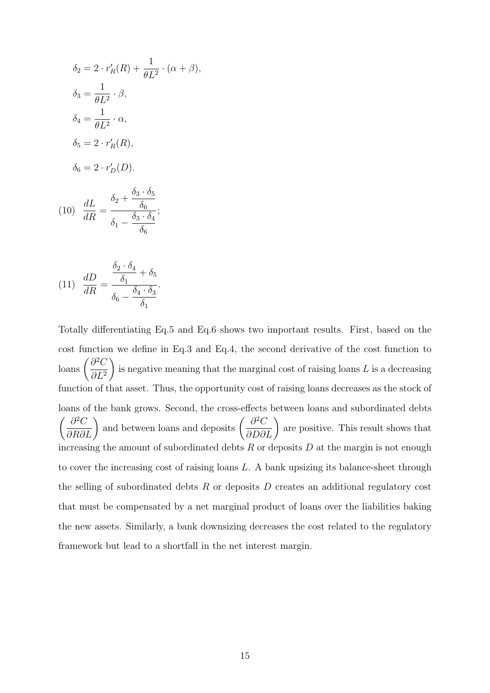$$
\delta_2 = 2 \cdot r'_R(R) + \frac{1}{\theta L^2} \cdot (\alpha + \beta),
$$
  
\n
$$
\delta_3 = \frac{1}{\theta L^2} \cdot \beta,
$$
  
\n
$$
\delta_4 = \frac{1}{\theta L^2} \cdot \alpha,
$$
  
\n
$$
\delta_5 = 2 \cdot r'_R(R),
$$
  
\n
$$
\delta_6 = 2 \cdot r'_D(D).
$$

$$
(10)\ \ \frac{dL}{dR} = \frac{\delta_2 + \frac{\delta_3 \cdot \delta_5}{\delta_6}}{\delta_1 - \frac{\delta_3 \cdot \delta_4}{\delta_6}};
$$

(11) 
$$
\frac{dD}{dR} = \frac{\frac{\delta_2 \cdot \delta_4}{\delta_1} + \delta_5}{\delta_6 - \frac{\delta_4 \cdot \delta_3}{\delta_1}}.
$$

Totally differentiating Eq.5 and Eq.6 shows two important results. First, based on the cost function we define in Eq.3 and Eq.4, the second derivative of the cost function to  $\int \frac{\partial^2 C}{\partial L^2}$  $\partial L^2$  $\setminus$ is negative meaning that the marginal cost of raising loans  $L$  is a decreasing function of that asset. Thus, the opportunity cost of raising loans decreases as the stock of loans of the bank grows. Second, the cross-effects between loans and subordinated debts  $\left(\frac{\partial^2 C}{\partial R \partial L}\right)$  and between loans and deposits  $\left(\frac{\partial^2 C}{\partial D \partial L}\right)$ are positive. This result shows that increasing the amount of subordinated debts  $R$  or deposits  $D$  at the margin is not enough to cover the increasing cost of raising loans L. A bank upsizing its balance-sheet through the selling of subordinated debts  $R$  or deposits  $D$  creates an additional regulatory cost that must be compensated by a net marginal product of loans over the liabilities baking the new assets. Similarly, a bank downsizing decreases the cost related to the regulatory framework but lead to a shortfall in the net interest margin.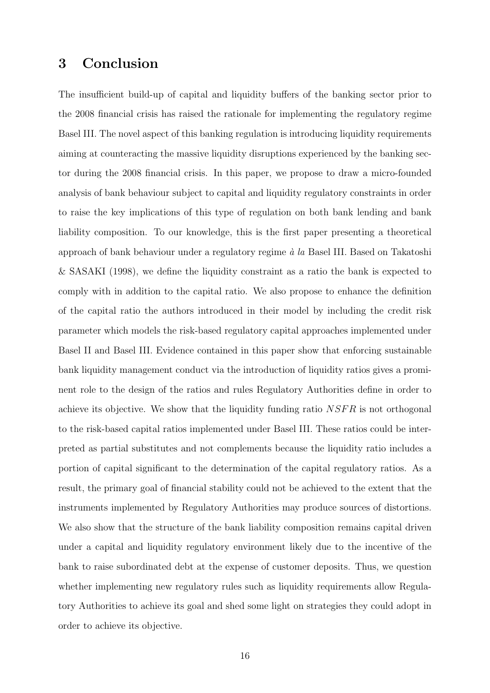## 3 Conclusion

The insufficient build-up of capital and liquidity buffers of the banking sector prior to the 2008 financial crisis has raised the rationale for implementing the regulatory regime Basel III. The novel aspect of this banking regulation is introducing liquidity requirements aiming at counteracting the massive liquidity disruptions experienced by the banking sector during the 2008 financial crisis. In this paper, we propose to draw a micro-founded analysis of bank behaviour subject to capital and liquidity regulatory constraints in order to raise the key implications of this type of regulation on both bank lending and bank liability composition. To our knowledge, this is the first paper presenting a theoretical approach of bank behaviour under a regulatory regime  $\dot{a}$  la Basel III. Based on Takatoshi & SASAKI (1998), we define the liquidity constraint as a ratio the bank is expected to comply with in addition to the capital ratio. We also propose to enhance the definition of the capital ratio the authors introduced in their model by including the credit risk parameter which models the risk-based regulatory capital approaches implemented under Basel II and Basel III. Evidence contained in this paper show that enforcing sustainable bank liquidity management conduct via the introduction of liquidity ratios gives a prominent role to the design of the ratios and rules Regulatory Authorities define in order to achieve its objective. We show that the liquidity funding ratio NSFR is not orthogonal to the risk-based capital ratios implemented under Basel III. These ratios could be interpreted as partial substitutes and not complements because the liquidity ratio includes a portion of capital significant to the determination of the capital regulatory ratios. As a result, the primary goal of financial stability could not be achieved to the extent that the instruments implemented by Regulatory Authorities may produce sources of distortions. We also show that the structure of the bank liability composition remains capital driven under a capital and liquidity regulatory environment likely due to the incentive of the bank to raise subordinated debt at the expense of customer deposits. Thus, we question whether implementing new regulatory rules such as liquidity requirements allow Regulatory Authorities to achieve its goal and shed some light on strategies they could adopt in order to achieve its objective.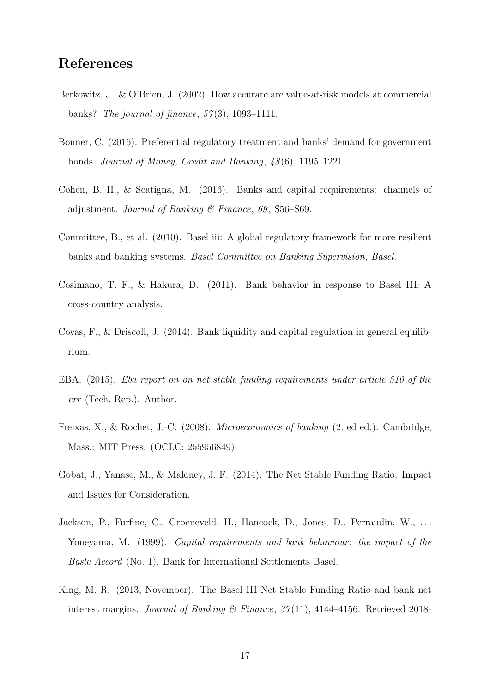## References

- Berkowitz, J., & O'Brien, J. (2002). How accurate are value-at-risk models at commercial banks? The journal of finance,  $57(3)$ , 1093-1111.
- Bonner, C. (2016). Preferential regulatory treatment and banks' demand for government bonds. Journal of Money, Credit and Banking, 48 (6), 1195–1221.
- Cohen, B. H., & Scatigna, M. (2016). Banks and capital requirements: channels of adjustment. Journal of Banking  $\mathcal C$  Finance, 69, S56–S69.
- Committee, B., et al. (2010). Basel iii: A global regulatory framework for more resilient banks and banking systems. Basel Committee on Banking Supervision, Basel.
- Cosimano, T. F., & Hakura, D. (2011). Bank behavior in response to Basel III: A cross-country analysis.
- Covas, F., & Driscoll, J. (2014). Bank liquidity and capital regulation in general equilibrium.
- EBA. (2015). Eba report on on net stable funding requirements under article 510 of the crr (Tech. Rep.). Author.
- Freixas, X., & Rochet, J.-C. (2008). Microeconomics of banking (2. ed ed.). Cambridge, Mass.: MIT Press. (OCLC: 255956849)
- Gobat, J., Yanase, M., & Maloney, J. F. (2014). The Net Stable Funding Ratio: Impact and Issues for Consideration.
- Jackson, P., Furfine, C., Groeneveld, H., Hancock, D., Jones, D., Perraudin, W., ... Yoneyama, M. (1999). *Capital requirements and bank behaviour: the impact of the* Basle Accord (No. 1). Bank for International Settlements Basel.
- King, M. R. (2013, November). The Basel III Net Stable Funding Ratio and bank net interest margins. Journal of Banking & Finance,  $37(11)$ ,  $4144-4156$ . Retrieved 2018-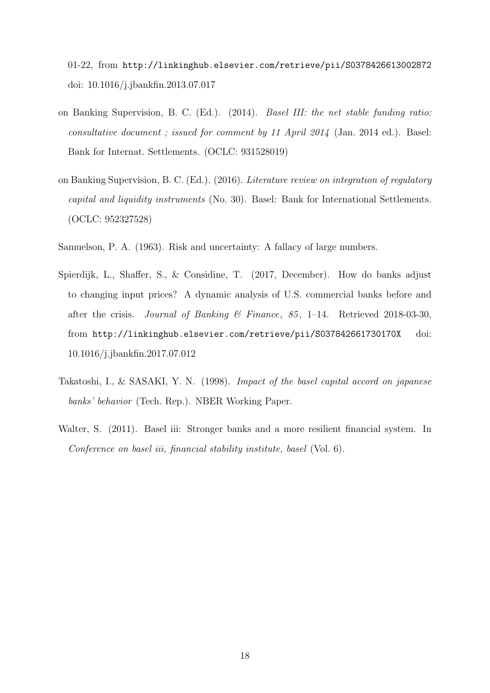01-22, from http://linkinghub.elsevier.com/retrieve/pii/S0378426613002872 doi: 10.1016/j.jbankfin.2013.07.017

- on Banking Supervision, B. C. (Ed.). (2014). Basel III: the net stable funding ratio: consultative document ; issued for comment by 11 April 2014 (Jan. 2014 ed.). Basel: Bank for Internat. Settlements. (OCLC: 931528019)
- on Banking Supervision, B. C. (Ed.). (2016). Literature review on integration of regulatory capital and liquidity instruments (No. 30). Basel: Bank for International Settlements. (OCLC: 952327528)
- Samuelson, P. A. (1963). Risk and uncertainty: A fallacy of large numbers.
- Spierdijk, L., Shaffer, S., & Considine, T. (2017, December). How do banks adjust to changing input prices? A dynamic analysis of U.S. commercial banks before and after the crisis. Journal of Banking & Finance, 85, 1–14. Retrieved 2018-03-30, from http://linkinghub.elsevier.com/retrieve/pii/S037842661730170X doi: 10.1016/j.jbankfin.2017.07.012
- Takatoshi, I., & SASAKI, Y. N. (1998). Impact of the basel capital accord on japanese banks' behavior (Tech. Rep.). NBER Working Paper.
- Walter, S. (2011). Basel iii: Stronger banks and a more resilient financial system. In Conference on basel iii, financial stability institute, basel (Vol. 6).